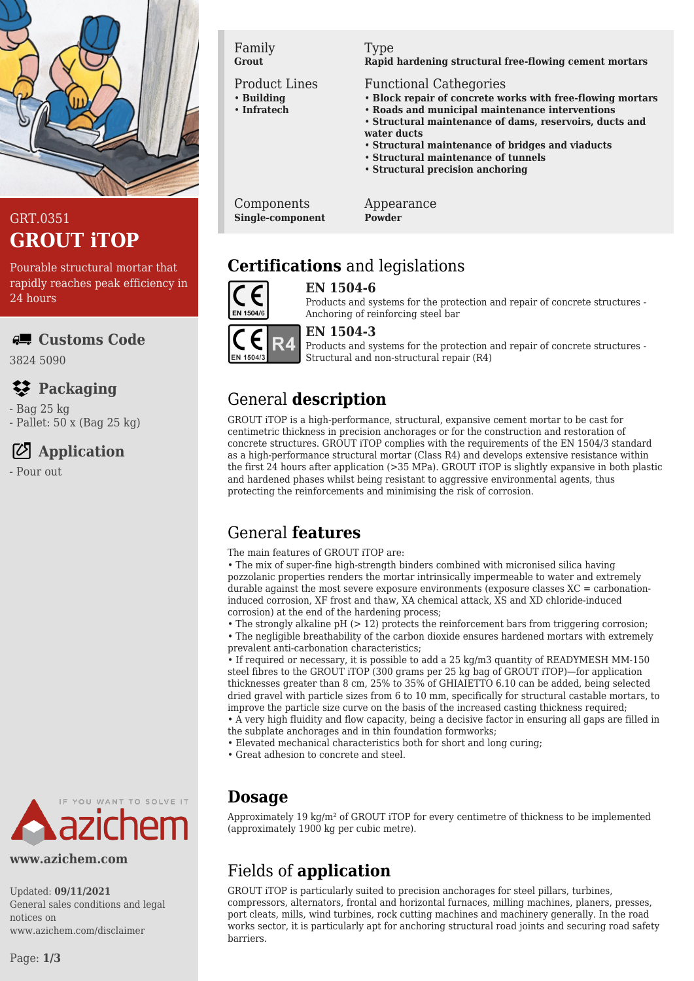

# GRT.0351 **GROUT iTOP**

Pourable structural mortar that rapidly reaches peak efficiency in 24 hours

## **Customs Code**

3824 5090

# **Packaging**

- Bag 25 kg

- Pallet: 50 x (Bag 25 kg)

# **Application**

- Pour out



#### **www.azichem.com**

Updated: **09/11/2021** General sales conditions and legal notices on www.azichem.com/disclaimer

Family **Grout**

#### Product Lines

- **Building** • **Infratech**
- 

#### Type

#### **Rapid hardening structural free-flowing cement mortars**

#### Functional Cathegories

- **Block repair of concrete works with free-flowing mortars**
- **Roads and municipal maintenance interventions**
- **Structural maintenance of dams, reservoirs, ducts and water ducts**
- **Structural maintenance of bridges and viaducts**
- **Structural maintenance of tunnels**
- **Structural precision anchoring**

Components **Single-component** Appearance **Powder**

# **Certifications** and legislations



#### **EN 1504-6**

Products and systems for the protection and repair of concrete structures - Anchoring of reinforcing steel bar



#### **EN 1504-3**

Products and systems for the protection and repair of concrete structures - Structural and non-structural repair (R4)

# General **description**

GROUT iTOP is a high-performance, structural, expansive cement mortar to be cast for centimetric thickness in precision anchorages or for the construction and restoration of concrete structures. GROUT iTOP complies with the requirements of the EN 1504/3 standard as a high-performance structural mortar (Class R4) and develops extensive resistance within the first 24 hours after application (>35 MPa). GROUT iTOP is slightly expansive in both plastic and hardened phases whilst being resistant to aggressive environmental agents, thus protecting the reinforcements and minimising the risk of corrosion.

# General **features**

The main features of GROUT iTOP are:

• The mix of super-fine high-strength binders combined with micronised silica having pozzolanic properties renders the mortar intrinsically impermeable to water and extremely durable against the most severe exposure environments (exposure classes  $XC =$  carbonationinduced corrosion, XF frost and thaw, XA chemical attack, XS and XD chloride-induced corrosion) at the end of the hardening process;

• The strongly alkaline pH (> 12) protects the reinforcement bars from triggering corrosion; • The negligible breathability of the carbon dioxide ensures hardened mortars with extremely prevalent anti-carbonation characteristics;

• If required or necessary, it is possible to add a 25 kg/m3 quantity of READYMESH MM-150 steel fibres to the GROUT iTOP (300 grams per 25 kg bag of GROUT iTOP)—for application thicknesses greater than 8 cm, 25% to 35% of GHIAIETTO 6.10 can be added, being selected dried gravel with particle sizes from 6 to 10 mm, specifically for structural castable mortars, to improve the particle size curve on the basis of the increased casting thickness required; • A very high fluidity and flow capacity, being a decisive factor in ensuring all gaps are filled in

- the subplate anchorages and in thin foundation formworks;
- Elevated mechanical characteristics both for short and long curing;
- Great adhesion to concrete and steel.

# **Dosage**

Approximately 19 kg/m² of GROUT iTOP for every centimetre of thickness to be implemented (approximately 1900 kg per cubic metre).

# Fields of **application**

GROUT iTOP is particularly suited to precision anchorages for steel pillars, turbines, compressors, alternators, frontal and horizontal furnaces, milling machines, planers, presses, port cleats, mills, wind turbines, rock cutting machines and machinery generally. In the road works sector, it is particularly apt for anchoring structural road joints and securing road safety barriers.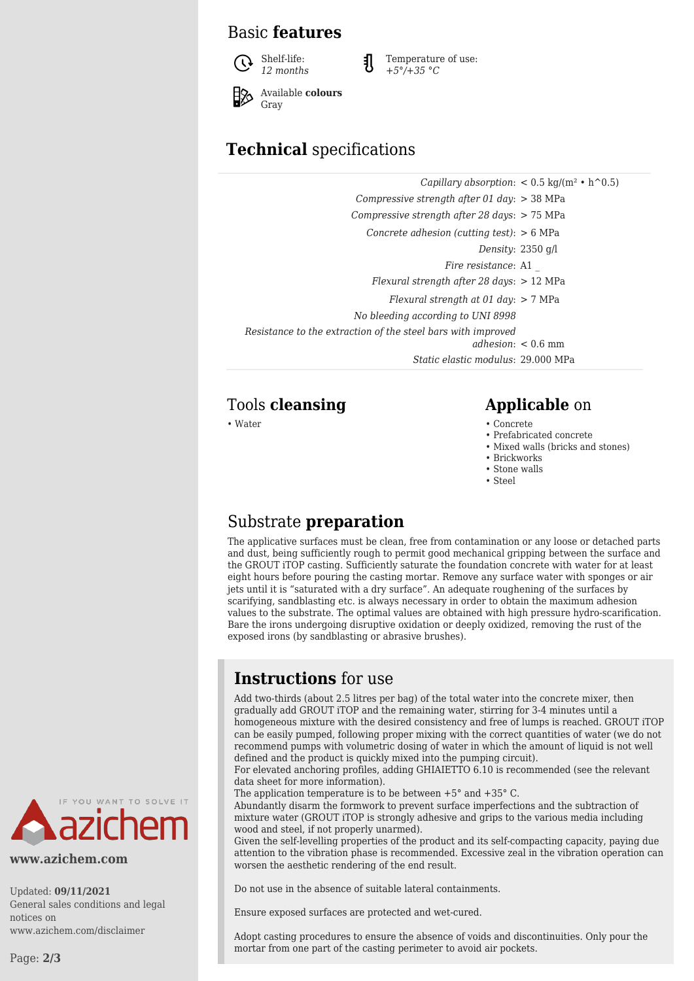## Basic **features**





Temperature of use: *+5°/+35 °C*

Available **colours** Gray

# **Technical** specifications

|                                                              | Capillary absorption: $< 0.5$ kg/(m <sup>2</sup> • h <sup><math>\sim</math></sup> 0.5) |
|--------------------------------------------------------------|----------------------------------------------------------------------------------------|
| Compressive strength after 01 day: $>$ 38 MPa                |                                                                                        |
| Compressive strength after 28 days: $>$ 75 MPa               |                                                                                        |
| Concrete adhesion (cutting test): $> 6$ MPa                  |                                                                                        |
|                                                              | Density: $2350$ g/l                                                                    |
| Fire resistance: A1                                          |                                                                                        |
| Flexural strength after 28 days: $> 12$ MPa                  |                                                                                        |
| Flexural strength at 01 day: $> 7$ MPa                       |                                                                                        |
| No bleeding according to UNI 8998                            |                                                                                        |
| Resistance to the extraction of the steel bars with improved |                                                                                        |
|                                                              | $adhesion: < 0.6$ mm                                                                   |
| <i>Static elastic modulus: 29.000 MPa</i>                    |                                                                                        |
|                                                              |                                                                                        |

## Tools **cleansing Applicable** on

- Water Concrete
	- Prefabricated concrete
	- Mixed walls (bricks and stones)
	- Brickworks
	- Stone walls
	- Steel

## Substrate **preparation**

The applicative surfaces must be clean, free from contamination or any loose or detached parts and dust, being sufficiently rough to permit good mechanical gripping between the surface and the GROUT iTOP casting. Sufficiently saturate the foundation concrete with water for at least eight hours before pouring the casting mortar. Remove any surface water with sponges or air jets until it is "saturated with a dry surface". An adequate roughening of the surfaces by scarifying, sandblasting etc. is always necessary in order to obtain the maximum adhesion values to the substrate. The optimal values are obtained with high pressure hydro-scarification. Bare the irons undergoing disruptive oxidation or deeply oxidized, removing the rust of the exposed irons (by sandblasting or abrasive brushes).

# **Instructions** for use

Add two-thirds (about 2.5 litres per bag) of the total water into the concrete mixer, then gradually add GROUT iTOP and the remaining water, stirring for 3-4 minutes until a homogeneous mixture with the desired consistency and free of lumps is reached. GROUT iTOP can be easily pumped, following proper mixing with the correct quantities of water (we do not recommend pumps with volumetric dosing of water in which the amount of liquid is not well defined and the product is quickly mixed into the pumping circuit).

For elevated anchoring profiles, adding GHIAIETTO 6.10 is recommended (see the relevant data sheet for more information).

The application temperature is to be between +5° and +35° C.

Abundantly disarm the formwork to prevent surface imperfections and the subtraction of mixture water (GROUT iTOP is strongly adhesive and grips to the various media including wood and steel, if not properly unarmed).

Given the self-levelling properties of the product and its self-compacting capacity, paying due attention to the vibration phase is recommended. Excessive zeal in the vibration operation can worsen the aesthetic rendering of the end result.

Do not use in the absence of suitable lateral containments.

Ensure exposed surfaces are protected and wet-cured.

Adopt casting procedures to ensure the absence of voids and discontinuities. Only pour the mortar from one part of the casting perimeter to avoid air pockets.



#### **www.azichem.com**

Updated: **09/11/2021** General sales conditions and legal notices on www.azichem.com/disclaimer

Page: **2/3**